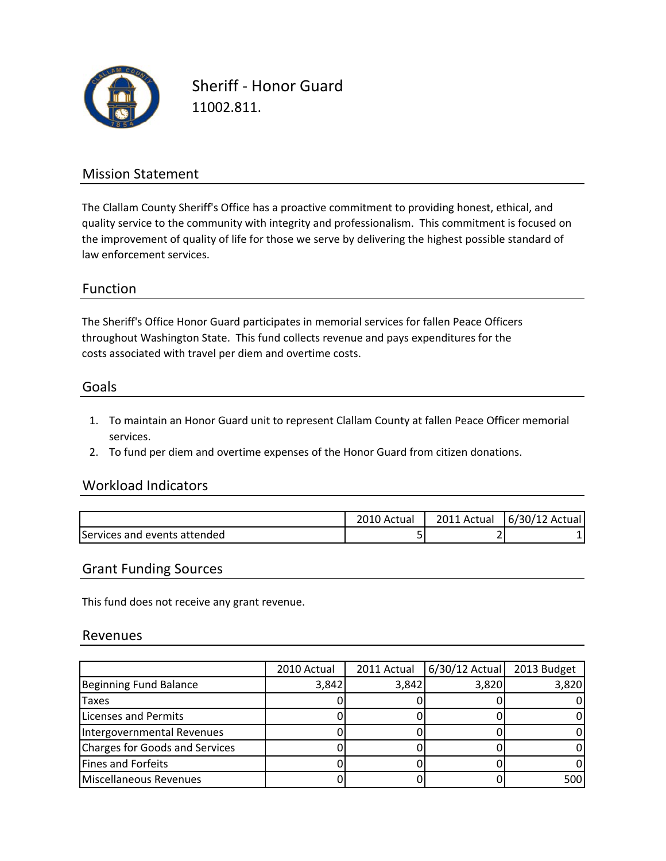

Sheriff ‐ Honor Guard 11002.811.

## Mission Statement

The Clallam County Sheriff's Office has a proactive commitment to providing honest, ethical, and quality service to the community with integrity and professionalism. This commitment is focused on the improvement of quality of life for those we serve by delivering the highest possible standard of law enforcement services.

### Function

The Sheriff's Office Honor Guard participates in memorial services for fallen Peace Officers costs associated with travel per diem and overtime costs. throughout Washington State. This fund collects revenue and pays expenditures for the

#### Goals

- 1. To maintain an Honor Guard unit to represent Clallam County at fallen Peace Officer memorial services.
- 2. To fund per diem and overtime expenses of the Honor Guard from citizen donations.

### Workload Indicators

|                              | اند. Actual | 2011 Actual | $6/30/12$ Actual |
|------------------------------|-------------|-------------|------------------|
| Services and events attended | ້           |             |                  |

#### Grant Funding Sources

This fund does not receive any grant revenue.

#### Revenues

|                                | 2010 Actual | 2011 Actual | 6/30/12 Actual | 2013 Budget |
|--------------------------------|-------------|-------------|----------------|-------------|
| Beginning Fund Balance         | 3,842       | 3,842       | 3,820          | 3,820       |
| <b>Taxes</b>                   |             |             |                |             |
| Licenses and Permits           |             |             |                |             |
| Intergovernmental Revenues     |             |             |                |             |
| Charges for Goods and Services |             |             |                |             |
| Fines and Forfeits             |             |             |                |             |
| Miscellaneous Revenues         |             |             |                | 500         |